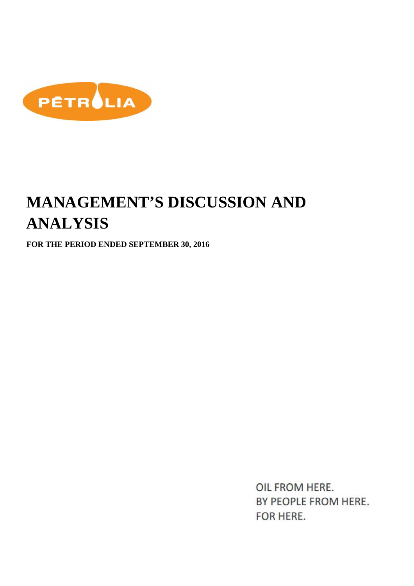

# **MANAGEMENT'S DISCUSSION AND ANALYSIS**

**FOR THE PERIOD ENDED SEPTEMBER 30, 2016** 

OIL FROM HERE. BY PEOPLE FROM HERE. FOR HERE.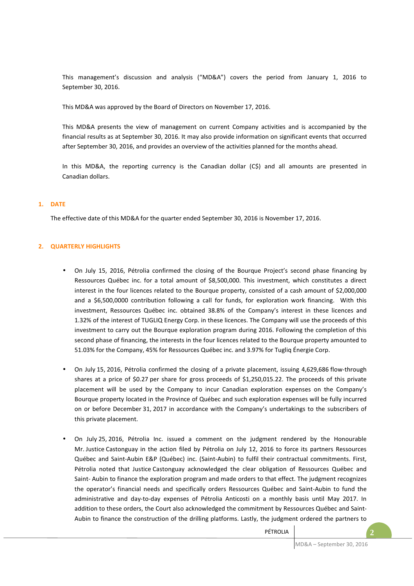This management's discussion and analysis ("MD&A") covers the period from January 1, 2016 to September 30, 2016.

This MD&A was approved by the Board of Directors on November 17, 2016.

This MD&A presents the view of management on current Company activities and is accompanied by the financial results as at September 30, 2016. It may also provide information on significant events that occurred after September 30, 2016, and provides an overview of the activities planned for the months ahead.

In this MD&A, the reporting currency is the Canadian dollar (C\$) and all amounts are presented in Canadian dollars.

## **1. DATE**

The effective date of this MD&A for the quarter ended September 30, 2016 is November 17, 2016.

## **2. QUARTERLY HIGHLIGHTS**

- On July 15, 2016, Pétrolia confirmed the closing of the Bourque Project's second phase financing by Ressources Québec inc. for a total amount of \$8,500,000. This investment, which constitutes a direct interest in the four licences related to the Bourque property, consisted of a cash amount of \$2,000,000 and a \$6,500,0000 contribution following a call for funds, for exploration work financing. With this investment, Ressources Québec inc. obtained 38.8% of the Company's interest in these licences and 1.32% of the interest of TUGLIQ Energy Corp. in these licences. The Company will use the proceeds of this investment to carry out the Bourque exploration program during 2016. Following the completion of this second phase of financing, the interests in the four licences related to the Bourque property amounted to 51.03% for the Company, 45% for Ressources Québec inc. and 3.97% for Tugliq Énergie Corp.
- On July 15, 2016, Pétrolia confirmed the closing of a private placement, issuing 4,629,686 flow-through shares at a price of \$0.27 per share for gross proceeds of \$1,250,015.22. The proceeds of this private placement will be used by the Company to incur Canadian exploration expenses on the Company's Bourque property located in the Province of Québec and such exploration expenses will be fully incurred on or before December 31, 2017 in accordance with the Company's undertakings to the subscribers of this private placement.
- On July 25, 2016, Pétrolia Inc. issued a comment on the judgment rendered by the Honourable Mr. Justice Castonguay in the action filed by Pétrolia on July 12, 2016 to force its partners Ressources Québec and Saint-Aubin E&P (Québec) inc. (Saint-Aubin) to fulfil their contractual commitments. First, Pétrolia noted that Justice Castonguay acknowledged the clear obligation of Ressources Québec and Saint- Aubin to finance the exploration program and made orders to that effect. The judgment recognizes the operator's financial needs and specifically orders Ressources Québec and Saint-Aubin to fund the administrative and day-to-day expenses of Pétrolia Anticosti on a monthly basis until May 2017. In addition to these orders, the Court also acknowledged the commitment by Ressources Québec and Saint-Aubin to finance the construction of the drilling platforms. Lastly, the judgment ordered the partners to

PÉTROLIA **2**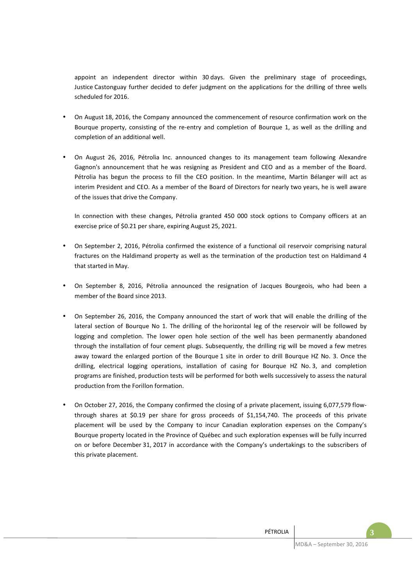appoint an independent director within 30 days. Given the preliminary stage of proceedings, Justice Castonguay further decided to defer judgment on the applications for the drilling of three wells scheduled for 2016.

- On August 18, 2016, the Company announced the commencement of resource confirmation work on the Bourque property, consisting of the re-entry and completion of Bourque 1, as well as the drilling and completion of an additional well.
- On August 26, 2016, Pétrolia Inc. announced changes to its management team following Alexandre Gagnon's announcement that he was resigning as President and CEO and as a member of the Board. Pétrolia has begun the process to fill the CEO position. In the meantime, Martin Bélanger will act as interim President and CEO. As a member of the Board of Directors for nearly two years, he is well aware of the issues that drive the Company.

In connection with these changes, Pétrolia granted 450 000 stock options to Company officers at an exercise price of \$0.21 per share, expiring August 25, 2021.

- On September 2, 2016, Pétrolia confirmed the existence of a functional oil reservoir comprising natural fractures on the Haldimand property as well as the termination of the production test on Haldimand 4 that started in May.
- On September 8, 2016, Pétrolia announced the resignation of Jacques Bourgeois, who had been a member of the Board since 2013.
- On September 26, 2016, the Company announced the start of work that will enable the drilling of the lateral section of Bourque No 1. The drilling of the horizontal leg of the reservoir will be followed by logging and completion. The lower open hole section of the well has been permanently abandoned through the installation of four cement plugs. Subsequently, the drilling rig will be moved a few metres away toward the enlarged portion of the Bourque 1 site in order to drill Bourque HZ No. 3. Once the drilling, electrical logging operations, installation of casing for Bourque HZ No. 3, and completion programs are finished, production tests will be performed for both wells successively to assess the natural production from the Forillon formation.
- On October 27, 2016, the Company confirmed the closing of a private placement, issuing 6,077,579 flowthrough shares at \$0.19 per share for gross proceeds of \$1,154,740. The proceeds of this private placement will be used by the Company to incur Canadian exploration expenses on the Company's Bourque property located in the Province of Québec and such exploration expenses will be fully incurred on or before December 31, 2017 in accordance with the Company's undertakings to the subscribers of this private placement.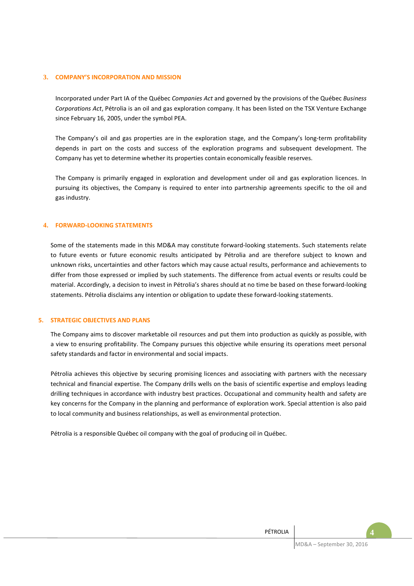#### **3. COMPANY'S INCORPORATION AND MISSION**

Incorporated under Part IA of the Québec *Companies Act* and governed by the provisions of the Québec *Business Corporations Act*, Pétrolia is an oil and gas exploration company. It has been listed on the TSX Venture Exchange since February 16, 2005, under the symbol PEA.

The Company's oil and gas properties are in the exploration stage, and the Company's long-term profitability depends in part on the costs and success of the exploration programs and subsequent development. The Company has yet to determine whether its properties contain economically feasible reserves.

The Company is primarily engaged in exploration and development under oil and gas exploration licences. In pursuing its objectives, the Company is required to enter into partnership agreements specific to the oil and gas industry.

#### **4. FORWARD-LOOKING STATEMENTS**

Some of the statements made in this MD&A may constitute forward-looking statements. Such statements relate to future events or future economic results anticipated by Pétrolia and are therefore subject to known and unknown risks, uncertainties and other factors which may cause actual results, performance and achievements to differ from those expressed or implied by such statements. The difference from actual events or results could be material. Accordingly, a decision to invest in Pétrolia's shares should at no time be based on these forward-looking statements. Pétrolia disclaims any intention or obligation to update these forward-looking statements.

#### **5. STRATEGIC OBJECTIVES AND PLANS**

The Company aims to discover marketable oil resources and put them into production as quickly as possible, with a view to ensuring profitability. The Company pursues this objective while ensuring its operations meet personal safety standards and factor in environmental and social impacts.

Pétrolia achieves this objective by securing promising licences and associating with partners with the necessary technical and financial expertise. The Company drills wells on the basis of scientific expertise and employs leading drilling techniques in accordance with industry best practices. Occupational and community health and safety are key concerns for the Company in the planning and performance of exploration work. Special attention is also paid to local community and business relationships, as well as environmental protection.

Pétrolia is a responsible Québec oil company with the goal of producing oil in Québec.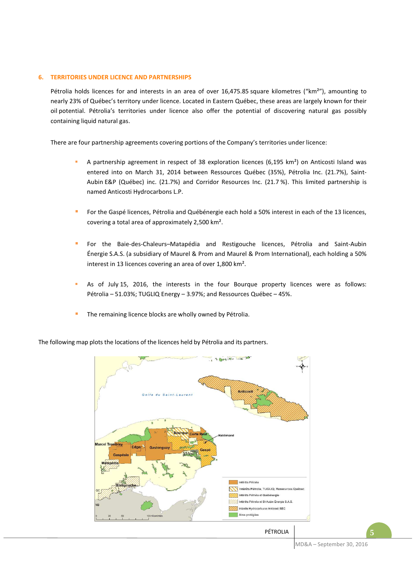## **6. TERRITORIES UNDER LICENCE AND PARTNERSHIPS**

Pétrolia holds licences for and interests in an area of over 16,475.85 square kilometres ("km²"), amounting to nearly 23% of Québec's territory under licence. Located in Eastern Québec, these areas are largely known for their oil potential. Pétrolia's territories under licence also offer the potential of discovering natural gas possibly containing liquid natural gas.

There are four partnership agreements covering portions of the Company's territories under licence:

- A partnership agreement in respect of 38 exploration licences (6,195 km²) on Anticosti Island was entered into on March 31, 2014 between Ressources Québec (35%), Pétrolia Inc. (21.7%), Saint-Aubin E&P (Québec) inc. (21.7%) and Corridor Resources Inc. (21.7 %). This limited partnership is named Anticosti Hydrocarbons L.P.
- For the Gaspé licences, Pétrolia and Québénergie each hold a 50% interest in each of the 13 licences, covering a total area of approximately 2,500 km².
- For the Baie-des-Chaleurs–Matapédia and Restigouche licences, Pétrolia and Saint-Aubin Énergie S.A.S. (a subsidiary of Maurel & Prom and Maurel & Prom International), each holding a 50% interest in 13 licences covering an area of over 1,800 km².
- As of July 15, 2016, the interests in the four Bourque property licences were as follows: Pétrolia – 51.03%; TUGLIQ Energy – 3.97%; and Ressources Québec – 45%.
- The remaining licence blocks are wholly owned by Pétrolia.



The following map plots the locations of the licences held by Pétrolia and its partners.

MD&A – September 30, 2016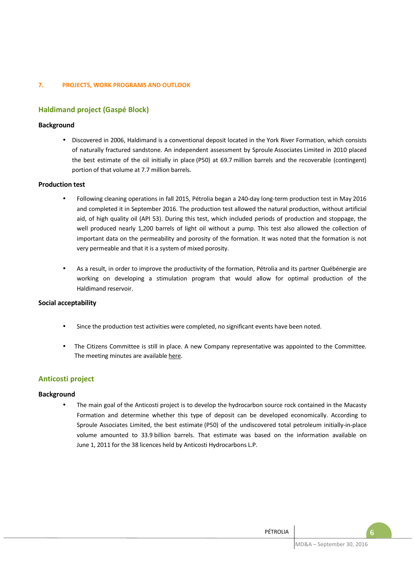## **7. PROJECTS, WORK PROGRAMS AND OUTLOOK**

# **Haldimand project (Gaspé Block)**

# **Background**

• Discovered in 2006, Haldimand is a conventional deposit located in the York River Formation, which consists of naturally fractured sandstone. An independent assessment by Sproule Associates Limited in 2010 placed the best estimate of the oil initially in place (P50) at 69.7 million barrels and the recoverable (contingent) portion of that volume at 7.7 million barrels.

## **Production test**

- Following cleaning operations in fall 2015, Pétrolia began a 240-day long-term production test in May 2016 and completed it in September 2016. The production test allowed the natural production, without artificial aid, of high quality oil (API 53). During this test, which included periods of production and stoppage, the well produced nearly 1,200 barrels of light oil without a pump. This test also allowed the collection of important data on the permeability and porosity of the formation. It was noted that the formation is not very permeable and that it is a system of mixed porosity.
- As a result, in order to improve the productivity of the formation, Pétrolia and its partner Québénergie are working on developing a stimulation program that would allow for optimal production of the Haldimand reservoir.

## **Social acceptability**

- Since the production test activities were completed, no significant events have been noted.
- The Citizens Committee is still in place. A new Company representative was appointed to the Committee. The meeting minutes are available here.

# **Anticosti project**

## **Background**

The main goal of the Anticosti project is to develop the hydrocarbon source rock contained in the Macasty Formation and determine whether this type of deposit can be developed economically. According to Sproule Associates Limited, the best estimate (P50) of the undiscovered total petroleum initially-in-place volume amounted to 33.9 billion barrels. That estimate was based on the information available on June 1, 2011 for the 38 licences held by Anticosti Hydrocarbons L.P.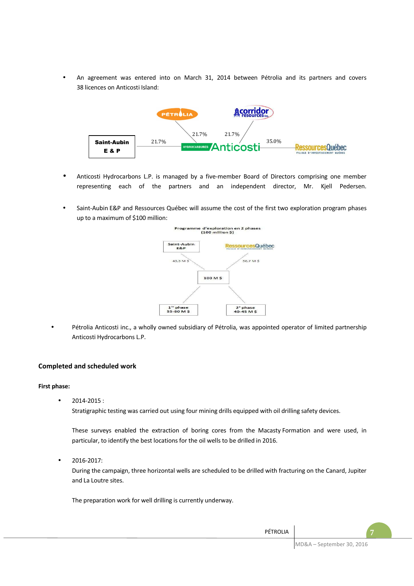• An agreement was entered into on March 31, 2014 between Pétrolia and its partners and covers 38 licences on Anticosti Island:



- Anticosti Hydrocarbons L.P. is managed by a five-member Board of Directors comprising one member representing each of the partners and an independent director, Mr. Kjell Pedersen.
- Saint-Aubin E&P and Ressources Québec will assume the cost of the first two exploration program phases up to a maximum of \$100 million:



• Pétrolia Anticosti inc., a wholly owned subsidiary of Pétrolia, was appointed operator of limited partnership Anticosti Hydrocarbons L.P.

## **Completed and scheduled work**

## **First phase:**

• 2014-2015 :

Stratigraphic testing was carried out using four mining drills equipped with oil drilling safety devices.

These surveys enabled the extraction of boring cores from the Macasty Formation and were used, in particular, to identify the best locations for the oil wells to be drilled in 2016.

• 2016-2017:

During the campaign, three horizontal wells are scheduled to be drilled with fracturing on the Canard, Jupiter and La Loutre sites.

The preparation work for well drilling is currently underway.

MD&A – September 30, 2016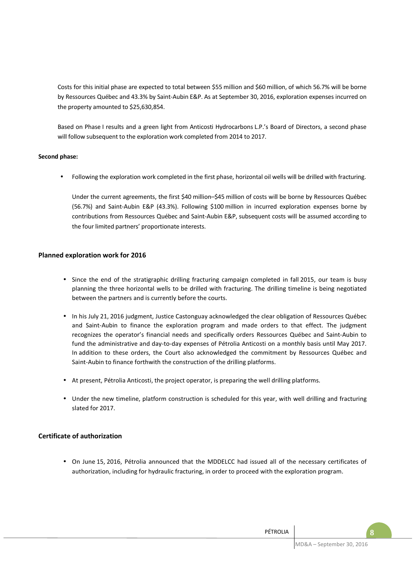Costs for this initial phase are expected to total between \$55 million and \$60 million, of which 56.7% will be borne by Ressources Québec and 43.3% by Saint-Aubin E&P. As at September 30, 2016, exploration expenses incurred on the property amounted to \$25,630,854.

Based on Phase I results and a green light from Anticosti Hydrocarbons L.P.'s Board of Directors, a second phase will follow subsequent to the exploration work completed from 2014 to 2017.

# **Second phase:**

• Following the exploration work completed in the first phase, horizontal oil wells will be drilled with fracturing.

Under the current agreements, the first \$40 million–\$45 million of costs will be borne by Ressources Québec (56.7%) and Saint-Aubin E&P (43.3%). Following \$100 million in incurred exploration expenses borne by contributions from Ressources Québec and Saint-Aubin E&P, subsequent costs will be assumed according to the four limited partners' proportionate interests.

# **Planned exploration work for 2016**

- Since the end of the stratigraphic drilling fracturing campaign completed in fall 2015, our team is busy planning the three horizontal wells to be drilled with fracturing. The drilling timeline is being negotiated between the partners and is currently before the courts.
- In his July 21, 2016 judgment, Justice Castonguay acknowledged the clear obligation of Ressources Québec and Saint-Aubin to finance the exploration program and made orders to that effect. The judgment recognizes the operator's financial needs and specifically orders Ressources Québec and Saint-Aubin to fund the administrative and day-to-day expenses of Pétrolia Anticosti on a monthly basis until May 2017. In addition to these orders, the Court also acknowledged the commitment by Ressources Québec and Saint-Aubin to finance forthwith the construction of the drilling platforms.
- At present, Pétrolia Anticosti, the project operator, is preparing the well drilling platforms.
- Under the new timeline, platform construction is scheduled for this year, with well drilling and fracturing slated for 2017.

## **Certificate of authorization**

• On June 15, 2016, Pétrolia announced that the MDDELCC had issued all of the necessary certificates of authorization, including for hydraulic fracturing, in order to proceed with the exploration program.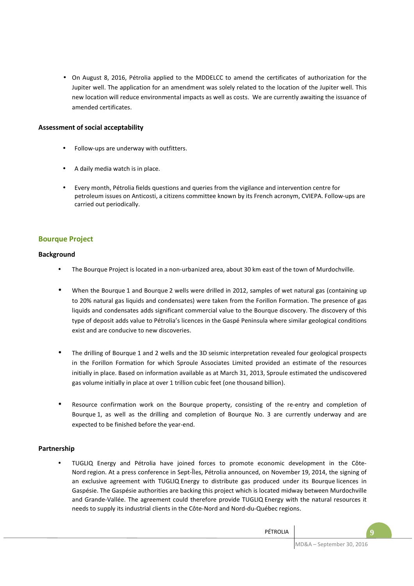• On August 8, 2016, Pétrolia applied to the MDDELCC to amend the certificates of authorization for the Jupiter well. The application for an amendment was solely related to the location of the Jupiter well. This new location will reduce environmental impacts as well as costs. We are currently awaiting the issuance of amended certificates.

# **Assessment of social acceptability**

- Follow-ups are underway with outfitters.
- A daily media watch is in place.
- Every month, Pétrolia fields questions and queries from the vigilance and intervention centre for petroleum issues on Anticosti, a citizens committee known by its French acronym, CVIEPA. Follow-ups are carried out periodically.

# **Bourque Project**

## **Background**

- The Bourque Project is located in a non-urbanized area, about 30 km east of the town of Murdochville.
- When the Bourque 1 and Bourque 2 wells were drilled in 2012, samples of wet natural gas (containing up to 20% natural gas liquids and condensates) were taken from the Forillon Formation. The presence of gas liquids and condensates adds significant commercial value to the Bourque discovery. The discovery of this type of deposit adds value to Pétrolia's licences in the Gaspé Peninsula where similar geological conditions exist and are conducive to new discoveries.
- The drilling of Bourque 1 and 2 wells and the 3D seismic interpretation revealed four geological prospects in the Forillon Formation for which Sproule Associates Limited provided an estimate of the resources initially in place. Based on information available as at March 31, 2013, Sproule estimated the undiscovered gas volume initially in place at over 1 trillion cubic feet (one thousand billion).
- Resource confirmation work on the Bourque property, consisting of the re-entry and completion of Bourque 1, as well as the drilling and completion of Bourque No. 3 are currently underway and are expected to be finished before the year-end.

## **Partnership**

• TUGLIQ Energy and Pétrolia have joined forces to promote economic development in the Côte-Nord region. At a press conference in Sept-Îles, Pétrolia announced, on November 19, 2014, the signing of an exclusive agreement with TUGLIQ Energy to distribute gas produced under its Bourque licences in Gaspésie. The Gaspésie authorities are backing this project which is located midway between Murdochville and Grande-Vallée. The agreement could therefore provide TUGLIQ Energy with the natural resources it needs to supply its industrial clients in the Côte-Nord and Nord-du-Québec regions.

PÉTROLIA **9**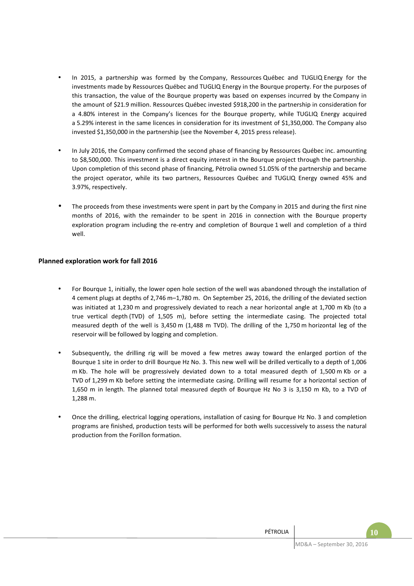- In 2015, a partnership was formed by the Company, Ressources Québec and TUGLIQ Energy for the investments made by Ressources Québec and TUGLIQ Energy in the Bourque property. For the purposes of this transaction, the value of the Bourque property was based on expenses incurred by the Company in the amount of \$21.9 million. Ressources Québec invested \$918,200 in the partnership in consideration for a 4.80% interest in the Company's licences for the Bourque property, while TUGLIQ Energy acquired a 5.29% interest in the same licences in consideration for its investment of \$1,350,000. The Company also invested \$1,350,000 in the partnership (see the November 4, 2015 press release).
- In July 2016, the Company confirmed the second phase of financing by Ressources Québec inc. amounting to \$8,500,000. This investment is a direct equity interest in the Bourque project through the partnership. Upon completion of this second phase of financing, Pétrolia owned 51.05% of the partnership and became the project operator, while its two partners, Ressources Québec and TUGLIQ Energy owned 45% and 3.97%, respectively.
- The proceeds from these investments were spent in part by the Company in 2015 and during the first nine months of 2016, with the remainder to be spent in 2016 in connection with the Bourque property exploration program including the re-entry and completion of Bourque 1 well and completion of a third well.

# **Planned exploration work for fall 2016**

- For Bourque 1, initially, the lower open hole section of the well was abandoned through the installation of 4 cement plugs at depths of 2,746 m–1,780 m. On September 25, 2016, the drilling of the deviated section was initiated at 1,230 m and progressively deviated to reach a near horizontal angle at 1,700 m Kb (to a true vertical depth (TVD) of 1,505 m), before setting the intermediate casing. The projected total measured depth of the well is 3,450 m (1,488 m TVD). The drilling of the 1,750 m horizontal leg of the reservoir will be followed by logging and completion.
- Subsequently, the drilling rig will be moved a few metres away toward the enlarged portion of the Bourque 1 site in order to drill Bourque Hz No. 3. This new well will be drilled vertically to a depth of 1,006 m Kb. The hole will be progressively deviated down to a total measured depth of 1,500 m Kb or a TVD of 1,299 m Kb before setting the intermediate casing. Drilling will resume for a horizontal section of 1,650 m in length. The planned total measured depth of Bourque Hz No 3 is 3,150 m Kb, to a TVD of 1,288 m.
- Once the drilling, electrical logging operations, installation of casing for Bourque Hz No. 3 and completion programs are finished, production tests will be performed for both wells successively to assess the natural production from the Forillon formation.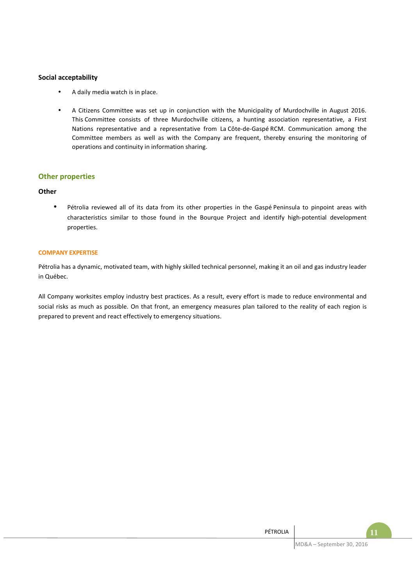# **Social acceptability**

- A daily media watch is in place.
- A Citizens Committee was set up in conjunction with the Municipality of Murdochville in August 2016. This Committee consists of three Murdochville citizens, a hunting association representative, a First Nations representative and a representative from La Côte-de-Gaspé RCM. Communication among the Committee members as well as with the Company are frequent, thereby ensuring the monitoring of operations and continuity in information sharing.

# **Other properties**

## **Other**

• Pétrolia reviewed all of its data from its other properties in the Gaspé Peninsula to pinpoint areas with characteristics similar to those found in the Bourque Project and identify high-potential development properties.

## **COMPANY EXPERTISE**

Pétrolia has a dynamic, motivated team, with highly skilled technical personnel, making it an oil and gas industry leader in Québec.

All Company worksites employ industry best practices. As a result, every effort is made to reduce environmental and social risks as much as possible. On that front, an emergency measures plan tailored to the reality of each region is prepared to prevent and react effectively to emergency situations.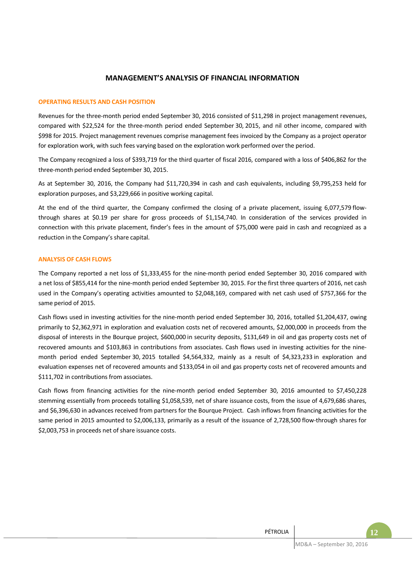# **MANAGEMENT'S ANALYSIS OF FINANCIAL INFORMATION**

#### **OPERATING RESULTS AND CASH POSITION**

Revenues for the three-month period ended September 30, 2016 consisted of \$11,298 in project management revenues, compared with \$22,524 for the three-month period ended September 30, 2015, and nil other income, compared with \$998 for 2015. Project management revenues comprise management fees invoiced by the Company as a project operator for exploration work, with such fees varying based on the exploration work performed over the period.

The Company recognized a loss of \$393,719 for the third quarter of fiscal 2016, compared with a loss of \$406,862 for the three-month period ended September 30, 2015.

As at September 30, 2016, the Company had \$11,720,394 in cash and cash equivalents, including \$9,795,253 held for exploration purposes, and \$3,229,666 in positive working capital.

At the end of the third quarter, the Company confirmed the closing of a private placement, issuing 6,077,579 flowthrough shares at \$0.19 per share for gross proceeds of \$1,154,740. In consideration of the services provided in connection with this private placement, finder's fees in the amount of \$75,000 were paid in cash and recognized as a reduction in the Company's share capital.

#### **ANALYSIS OF CASH FLOWS**

The Company reported a net loss of \$1,333,455 for the nine-month period ended September 30, 2016 compared with a net loss of \$855,414 for the nine-month period ended September 30, 2015. For the first three quarters of 2016, net cash used in the Company's operating activities amounted to \$2,048,169, compared with net cash used of \$757,366 for the same period of 2015.

Cash flows used in investing activities for the nine-month period ended September 30, 2016, totalled \$1,204,437, owing primarily to \$2,362,971 in exploration and evaluation costs net of recovered amounts, \$2,000,000 in proceeds from the disposal of interests in the Bourque project, \$600,000 in security deposits, \$131,649 in oil and gas property costs net of recovered amounts and \$103,863 in contributions from associates. Cash flows used in investing activities for the ninemonth period ended September 30, 2015 totalled \$4,564,332, mainly as a result of \$4,323,233 in exploration and evaluation expenses net of recovered amounts and \$133,054 in oil and gas property costs net of recovered amounts and \$111,702 in contributions from associates.

Cash flows from financing activities for the nine-month period ended September 30, 2016 amounted to \$7,450,228 stemming essentially from proceeds totalling \$1,058,539, net of share issuance costs, from the issue of 4,679,686 shares, and \$6,396,630 in advances received from partners for the Bourque Project. Cash inflows from financing activities for the same period in 2015 amounted to \$2,006,133, primarily as a result of the issuance of 2,728,500 flow-through shares for \$2,003,753 in proceeds net of share issuance costs.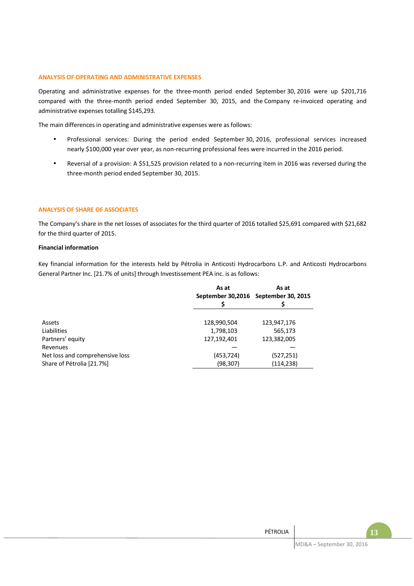#### **ANALYSIS OF OPERATING AND ADMINISTRATIVE EXPENSES**

Operating and administrative expenses for the three-month period ended September 30, 2016 were up \$201,716 compared with the three-month period ended September 30, 2015, and the Company re-invoiced operating and administrative expenses totalling \$145,293.

The main differences in operating and administrative expenses were as follows:

- Professional services: During the period ended September 30, 2016, professional services increased nearly \$100,000 year over year, as non-recurring professional fees were incurred in the 2016 period.
- Reversal of a provision: A \$51,525 provision related to a non-recurring item in 2016 was reversed during the three-month period ended September 30, 2015.

## **ANALYSIS OF SHARE OF ASSOCIATES**

The Company's share in the net losses of associates for the third quarter of 2016 totalled \$25,691 compared with \$21,682 for the third quarter of 2015.

#### **Financial information**

Key financial information for the interests held by Pétrolia in Anticosti Hydrocarbons L.P. and Anticosti Hydrocarbons General Partner Inc. [21.7% of units] through Investissement PEA inc. is as follows:

|                                 | As at       | As at                                |
|---------------------------------|-------------|--------------------------------------|
|                                 |             | September 30,2016 September 30, 2015 |
|                                 |             |                                      |
|                                 |             |                                      |
| Assets                          | 128,990,504 | 123,947,176                          |
| Liabilities                     | 1,798,103   | 565,173                              |
| Partners' equity                | 127,192,401 | 123,382,005                          |
| Revenues                        |             |                                      |
| Net loss and comprehensive loss | (453, 724)  | (527, 251)                           |
| Share of Pétrolia [21.7%]       | (98, 307)   | (114, 238)                           |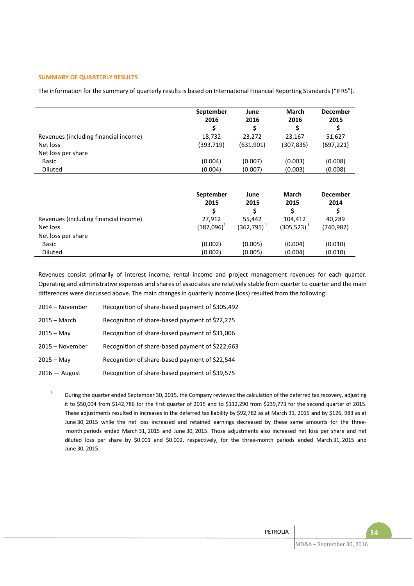## **SUMMARY OF QUARTERLY RESULTS**

The information for the summary of quarterly results is based on International Financial Reporting Standards ("IFRS").

|                                       | September<br>2016 | June<br>2016  | March<br>2016    | <b>December</b><br>2015 |  |
|---------------------------------------|-------------------|---------------|------------------|-------------------------|--|
|                                       | \$                | \$            | \$               | \$                      |  |
| Revenues (including financial income) | 18,732            | 23,272        | 23,167           | 51,627                  |  |
| Net loss                              | (393, 719)        | (631,901)     | (307,835)        | (697, 221)              |  |
| Net loss per share                    |                   |               |                  |                         |  |
| <b>Basic</b>                          | (0.004)           | (0.007)       | (0.003)          | (0.008)                 |  |
| <b>Diluted</b>                        | (0.004)           | (0.007)       | (0.003)          | (0.008)                 |  |
|                                       |                   |               |                  |                         |  |
|                                       | September         | June          | <b>March</b>     | <b>December</b>         |  |
|                                       | 2015              | 2015          | 2015             | 2014                    |  |
|                                       | \$                | \$            | \$               | \$                      |  |
| Revenues (including financial income) | 27,912            | 55,442        | 104,412          | 40,289                  |  |
| Net loss                              | $(187,096)^1$     | $(362,795)^1$ | $(305, 523)^{1}$ | (740,982)               |  |
| Net loss per share                    |                   |               |                  |                         |  |
| <b>Basic</b>                          | (0.002)           | (0.005)       | (0.004)          | (0.010)                 |  |
| <b>Diluted</b>                        | (0.002)           | (0.005)       | (0.004)          | (0.010)                 |  |

Revenues consist primarily of interest income, rental income and project management revenues for each quarter. Operating and administrative expenses and shares of associates are relatively stable from quarter to quarter and the main differences were discussed above. The main changes in quarterly income (loss) resulted from the following:

| 2014 - November | Recognition of share-based payment of \$305,492 |
|-----------------|-------------------------------------------------|
| $2015 - March$  | Recognition of share-based payment of \$22,275  |
| $2015 - May$    | Recognition of share-based payment of \$31,006  |
| 2015 - November | Recognition of share-based payment of \$222,663 |
| $2015 - May$    | Recognition of share-based payment of \$22,544  |
| $2016$ – August | Recognition of share-based payment of \$39,575  |

1 During the quarter ended September 30, 2015, the Company reviewed the calculation of the deferred tax recovery, adjusting it to \$50,004 from \$142,786 for the first quarter of 2015 and to \$112,290 from \$239,773 for the second quarter of 2015. These adjustments resulted in increases in the deferred tax liability by \$92,782 as at March 31, 2015 and by \$126, 983 as at June 30, 2015 while the net loss increased and retained earnings decreased by these same amounts for the three month periods ended March 31, 2015 and June 30, 2015. Those adjustments also increased net loss per share and net diluted loss per share by \$0.001 and \$0.002, respectively, for the three-month periods ended March 31, 2015 and June 30, 2015.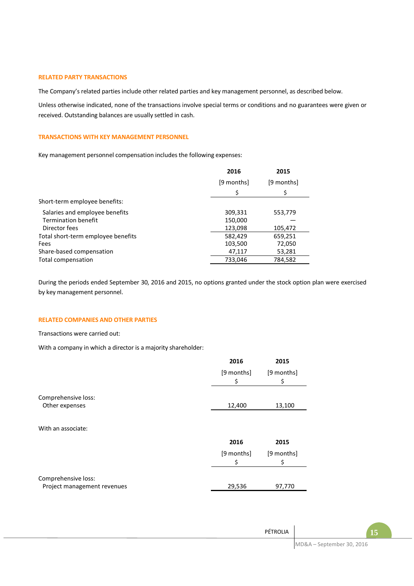#### **RELATED PARTY TRANSACTIONS**

The Company's related parties include other related parties and key management personnel, as described below.

Unless otherwise indicated, none of the transactions involve special terms or conditions and no guarantees were given or received. Outstanding balances are usually settled in cash.

#### **TRANSACTIONS WITH KEY MANAGEMENT PERSONNEL**

Key management personnel compensation includes the following expenses:

|                                    | 2016       | 2015       |
|------------------------------------|------------|------------|
|                                    | [9 months] | [9 months] |
|                                    | \$         | \$         |
| Short-term employee benefits:      |            |            |
| Salaries and employee benefits     | 309,331    | 553,779    |
| <b>Termination benefit</b>         | 150,000    |            |
| Director fees                      | 123,098    | 105,472    |
| Total short-term employee benefits | 582,429    | 659,251    |
| Fees                               | 103,500    | 72,050     |
| Share-based compensation           | 47,117     | 53,281     |
| Total compensation                 | 733,046    | 784,582    |

During the periods ended September 30, 2016 and 2015, no options granted under the stock option plan were exercised by key management personnel.

#### **RELATED COMPANIES AND OTHER PARTIES**

Transactions were carried out:

With a company in which a director is a majority shareholder:

|                                                    | 2016       | 2015       |
|----------------------------------------------------|------------|------------|
|                                                    | [9 months] | [9 months] |
|                                                    | \$         | \$         |
| Comprehensive loss:                                |            |            |
| Other expenses                                     | 12,400     | 13,100     |
|                                                    |            |            |
| With an associate:                                 |            |            |
|                                                    | 2016       | 2015       |
|                                                    | [9 months] | [9 months] |
|                                                    | \$         | \$         |
|                                                    |            |            |
| Comprehensive loss:<br>Project management revenues | 29,536     | 97,770     |
|                                                    |            |            |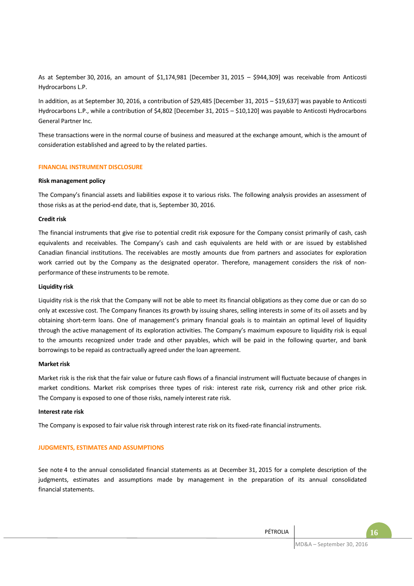As at September 30, 2016, an amount of \$1,174,981 [December 31, 2015 – \$944,309] was receivable from Anticosti Hydrocarbons L.P.

In addition, as at September 30, 2016, a contribution of \$29,485 [December 31, 2015 – \$19,637] was payable to Anticosti Hydrocarbons L.P., while a contribution of \$4,802 [December 31, 2015 – \$10,120] was payable to Anticosti Hydrocarbons General Partner Inc.

These transactions were in the normal course of business and measured at the exchange amount, which is the amount of consideration established and agreed to by the related parties.

#### **FINANCIAL INSTRUMENT DISCLOSURE**

#### **Risk management policy**

The Company's financial assets and liabilities expose it to various risks. The following analysis provides an assessment of those risks as at the period-end date, that is, September 30, 2016.

#### **Credit risk**

The financial instruments that give rise to potential credit risk exposure for the Company consist primarily of cash, cash equivalents and receivables. The Company's cash and cash equivalents are held with or are issued by established Canadian financial institutions. The receivables are mostly amounts due from partners and associates for exploration work carried out by the Company as the designated operator. Therefore, management considers the risk of nonperformance of these instruments to be remote.

#### **Liquidity risk**

Liquidity risk is the risk that the Company will not be able to meet its financial obligations as they come due or can do so only at excessive cost. The Company finances its growth by issuing shares, selling interests in some of its oil assets and by obtaining short-term loans. One of management's primary financial goals is to maintain an optimal level of liquidity through the active management of its exploration activities. The Company's maximum exposure to liquidity risk is equal to the amounts recognized under trade and other payables, which will be paid in the following quarter, and bank borrowings to be repaid as contractually agreed under the loan agreement.

#### **Market risk**

Market risk is the risk that the fair value or future cash flows of a financial instrument will fluctuate because of changes in market conditions. Market risk comprises three types of risk: interest rate risk, currency risk and other price risk. The Company is exposed to one of those risks, namely interest rate risk.

#### **Interest rate risk**

The Company is exposed to fair value risk through interest rate risk on its fixed-rate financial instruments.

#### **JUDGMENTS, ESTIMATES AND ASSUMPTIONS**

See note 4 to the annual consolidated financial statements as at December 31, 2015 for a complete description of the judgments, estimates and assumptions made by management in the preparation of its annual consolidated financial statements.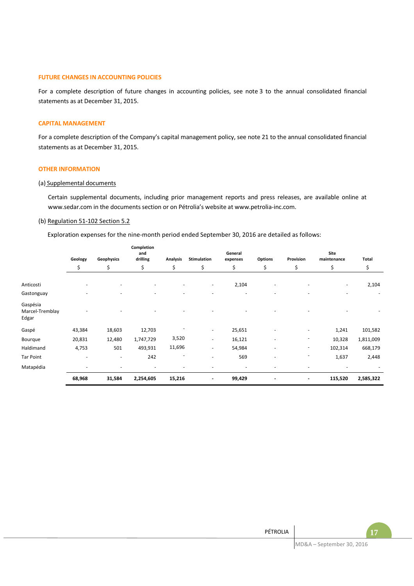#### **FUTURE CHANGES IN ACCOUNTING POLICIES**

For a complete description of future changes in accounting policies, see note 3 to the annual consolidated financial statements as at December 31, 2015.

#### **CAPITAL MANAGEMENT**

For a complete description of the Company's capital management policy, see note 21 to the annual consolidated financial statements as at December 31, 2015.

#### **OTHER INFORMATION**

#### (a) Supplemental documents

Certain supplemental documents, including prior management reports and press releases, are available online at www.sedar.com in the documents section or on Pétrolia's website at www.petrolia-inc.com.

#### (b) Regulation 51-102 Section 5.2

Exploration expenses for the nine-month period ended September 30, 2016 are detailed as follows:

|                                      | Geology<br>\$ |        | Geophysics | Completion<br>and<br>drilling | <b>Analysis</b> | <b>Stimulation</b> | General<br>expenses      | Options                  | Provision | Site<br>maintenance      | <b>Total</b> |
|--------------------------------------|---------------|--------|------------|-------------------------------|-----------------|--------------------|--------------------------|--------------------------|-----------|--------------------------|--------------|
|                                      |               |        |            | \$                            | \$              | \$                 | \$                       | \$                       | \$        | \$                       | \$           |
| Anticosti                            |               |        |            |                               | ٠               | 2,104              | ٠                        |                          | ٠         | 2,104                    |              |
| Gastonguay                           |               |        |            |                               |                 |                    |                          |                          |           | $\overline{\phantom{a}}$ |              |
| Gaspésia<br>Marcel-Tremblay<br>Edgar |               |        |            |                               |                 |                    |                          |                          |           |                          |              |
| Gaspé                                | 43,384        | 18,603 | 12,703     |                               | $\sim$          | 25,651             |                          | ٠                        | 1,241     | 101,582                  |              |
| Bourque                              | 20,831        | 12,480 | 1,747,729  | 3,520                         | ٠               | 16,121             | $\overline{\phantom{a}}$ |                          | 10,328    | 1,811,009                |              |
| Haldimand                            | 4,753         | 501    | 493,931    | 11,696                        | ٠               | 54,984             |                          | $\overline{\phantom{a}}$ | 102,314   | 668,179                  |              |
| <b>Tar Point</b>                     |               | ٠      | 242        |                               | ٠               | 569                | ٠                        |                          | 1,637     | 2,448                    |              |
| Matapédia                            |               |        |            |                               |                 |                    |                          |                          |           |                          |              |
|                                      | 68,968        | 31,584 | 2,254,605  | 15,216                        | $\overline{a}$  | 99,429             |                          | $\overline{\phantom{a}}$ | 115,520   | 2,585,322                |              |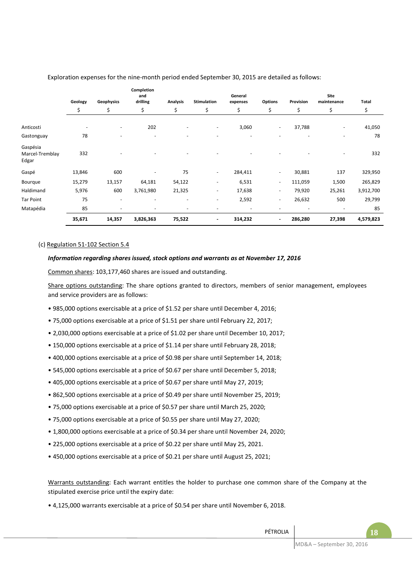|                                      |         |                          | Completion<br>and |                          |                          | General                  |                          |           | Site                     |           |
|--------------------------------------|---------|--------------------------|-------------------|--------------------------|--------------------------|--------------------------|--------------------------|-----------|--------------------------|-----------|
|                                      | Geology | Geophysics               | drilling          | Analysis                 | Stimulation              | expenses                 | <b>Options</b>           | Provision | maintenance              | Total     |
|                                      | \$      | \$                       | \$                | \$                       | \$                       | \$                       | \$                       | \$        | \$                       | \$        |
|                                      |         |                          |                   |                          |                          |                          |                          |           |                          |           |
| Anticosti                            |         | $\blacksquare$           | 202               |                          | $\overline{\phantom{a}}$ | 3,060                    | ٠                        | 37,788    |                          | 41,050    |
| Gastonguay                           | 78      | $\overline{\phantom{a}}$ | ٠                 | $\overline{\phantom{a}}$ | $\overline{\phantom{a}}$ | $\overline{\phantom{a}}$ | ٠                        | ٠         | $\overline{\phantom{a}}$ | 78        |
| Gaspésia<br>Marcel-Tremblay<br>Edgar | 332     |                          |                   |                          |                          |                          |                          |           |                          | 332       |
| Gaspé                                | 13,846  | 600                      |                   | 75                       | $\overline{\phantom{a}}$ | 284,411                  | ٠                        | 30,881    | 137                      | 329,950   |
| Bourque                              | 15,279  | 13,157                   | 64,181            | 54,122                   | $\overline{\phantom{a}}$ | 6,531                    | $\sim$                   | 111,059   | 1,500                    | 265,829   |
| Haldimand                            | 5,976   | 600                      | 3,761,980         | 21,325                   | $\overline{\phantom{a}}$ | 17,638                   | ٠                        | 79,920    | 25,261                   | 3,912,700 |
| <b>Tar Point</b>                     | 75      | $\overline{\phantom{a}}$ | ٠                 | $\overline{\phantom{a}}$ | $\overline{\phantom{a}}$ | 2,592                    | $\overline{\phantom{a}}$ | 26,632    | 500                      | 29,799    |
| Matapédia                            | 85      | ٠                        |                   | $\overline{\phantom{a}}$ |                          | $\overline{\phantom{a}}$ | ٠                        | ٠         |                          | 85        |
|                                      | 35,671  | 14,357                   | 3,826,363         | 75,522                   | $\overline{\phantom{a}}$ | 314,232                  | $\overline{\phantom{a}}$ | 286,280   | 27,398                   | 4,579,823 |

Exploration expenses for the nine-month period ended September 30, 2015 are detailed as follows:

#### (c) Regulation 51-102 Section 5.4

#### *Information regarding shares issued, stock options and warrants as at November 17, 2016*

Common shares: 103,177,460 shares are issued and outstanding.

Share options outstanding: The share options granted to directors, members of senior management, employees and service providers are as follows:

- 985,000 options exercisable at a price of \$1.52 per share until December 4, 2016;
- 75,000 options exercisable at a price of \$1.51 per share until February 22, 2017;
- 2,030,000 options exercisable at a price of \$1.02 per share until December 10, 2017;
- 150,000 options exercisable at a price of \$1.14 per share until February 28, 2018;
- 400,000 options exercisable at a price of \$0.98 per share until September 14, 2018;
- 545,000 options exercisable at a price of \$0.67 per share until December 5, 2018;
- 405,000 options exercisable at a price of \$0.67 per share until May 27, 2019;
- 862,500 options exercisable at a price of \$0.49 per share until November 25, 2019;
- 75,000 options exercisable at a price of \$0.57 per share until March 25, 2020;
- 75,000 options exercisable at a price of \$0.55 per share until May 27, 2020;
- 1,800,000 options exercisable at a price of \$0.34 per share until November 24, 2020;
- 225,000 options exercisable at a price of \$0.22 per share until May 25, 2021.
- 450,000 options exercisable at a price of \$0.21 per share until August 25, 2021;

Warrants outstanding: Each warrant entitles the holder to purchase one common share of the Company at the stipulated exercise price until the expiry date:

• 4,125,000 warrants exercisable at a price of \$0.54 per share until November 6, 2018.

PÉTROLIA **18**